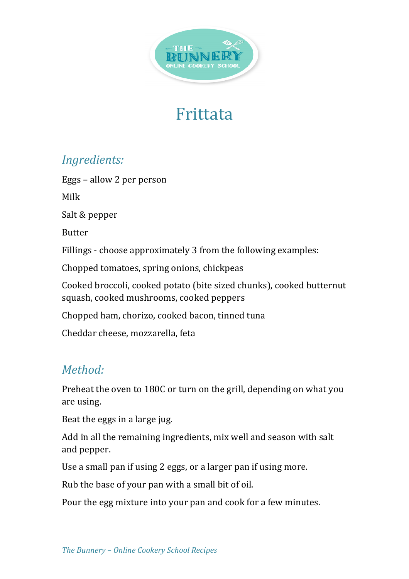

## Frittata

## *Ingredients:*

Eggs – allow 2 per person Milk Salt & pepper Butter Fillings - choose approximately 3 from the following examples: Chopped tomatoes, spring onions, chickpeas Cooked broccoli, cooked potato (bite sized chunks), cooked butternut squash, cooked mushrooms, cooked peppers Chopped ham, chorizo, cooked bacon, tinned tuna Cheddar cheese, mozzarella, feta

## *Method:*

Preheat the oven to 180C or turn on the grill, depending on what you are using.

Beat the eggs in a large jug.

Add in all the remaining ingredients, mix well and season with salt and pepper.

Use a small pan if using 2 eggs, or a larger pan if using more.

Rub the base of your pan with a small bit of oil.

Pour the egg mixture into your pan and cook for a few minutes.